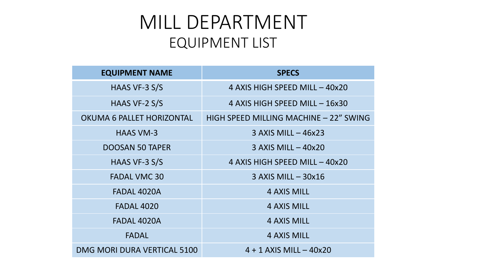## MILL DEPARTMENT EQUIPMENT LIST

| <b>EQUIPMENT NAME</b>       | <b>SPECS</b>                           |
|-----------------------------|----------------------------------------|
| HAAS VF-3 S/S               | 4 AXIS HIGH SPEED MILL - 40x20         |
| HAAS VF-2 S/S               | 4 AXIS HIGH SPEED MILL - 16x30         |
| OKUMA 6 PALLET HORIZONTAL   | HIGH SPEED MILLING MACHINE - 22" SWING |
| <b>HAAS VM-3</b>            | $3$ AXIS MILL $-$ 46x23                |
| <b>DOOSAN 50 TAPER</b>      | $3$ AXIS MILL $-$ 40x20                |
| HAAS VF-3 S/S               | 4 AXIS HIGH SPEED MILL - 40x20         |
| <b>FADAL VMC 30</b>         | $3$ AXIS MILL $-$ 30x16                |
| FADAL 4020A                 | 4 AXIS MILL                            |
| <b>FADAL 4020</b>           | <b>4 AXIS MILL</b>                     |
| FADAL 4020A                 | <b>4 AXIS MILL</b>                     |
| <b>FADAL</b>                | <b>4 AXIS MILL</b>                     |
| DMG MORI DURA VERTICAL 5100 | $4 + 1$ AXIS MILL $-$ 40x20            |